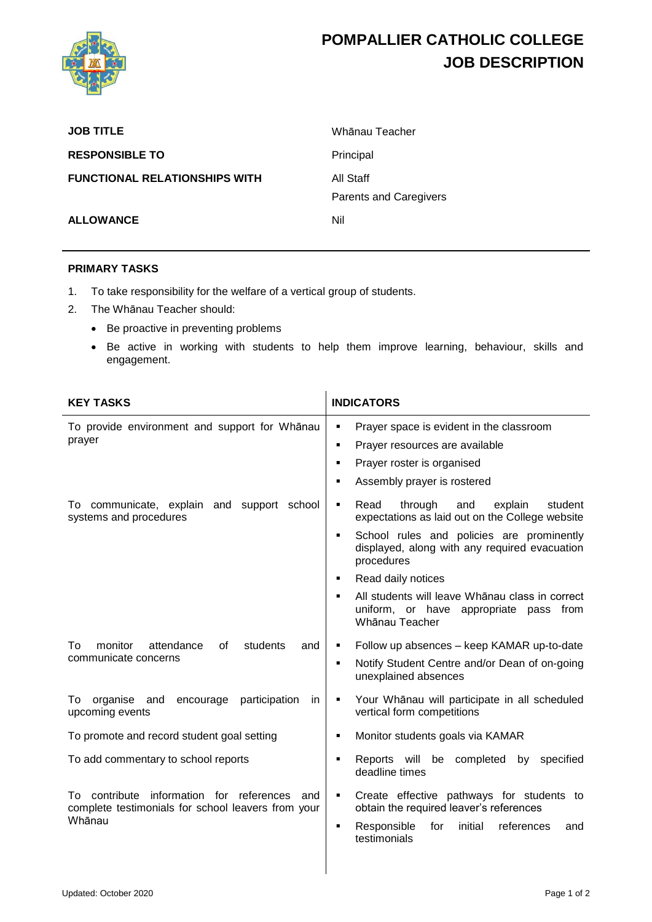

## **POMPALLIER CATHOLIC COLLEGE JOB DESCRIPTION**

| <b>JOB TITLE</b>                     | Whānau Teacher                      |
|--------------------------------------|-------------------------------------|
| <b>RESPONSIBLE TO</b>                | Principal                           |
| <b>FUNCTIONAL RELATIONSHIPS WITH</b> | All Staff<br>Parents and Caregivers |
| <b>ALLOWANCE</b>                     | Nil                                 |

## **PRIMARY TASKS**

- 1. To take responsibility for the welfare of a vertical group of students.
- 2. The Whānau Teacher should:
	- Be proactive in preventing problems
	- Be active in working with students to help them improve learning, behaviour, skills and engagement.

| <b>KEY TASKS</b>                                                                                                       | <b>INDICATORS</b>                                                                                                                                                                                                     |
|------------------------------------------------------------------------------------------------------------------------|-----------------------------------------------------------------------------------------------------------------------------------------------------------------------------------------------------------------------|
| To provide environment and support for Whānau<br>prayer                                                                | Prayer space is evident in the classroom<br>٠<br>Prayer resources are available<br>п<br>Prayer roster is organised<br>п<br>Assembly prayer is rostered                                                                |
| To communicate, explain and support school<br>systems and procedures                                                   | Read<br>through<br>and<br>explain<br>student<br>٠<br>expectations as laid out on the College website<br>School rules and policies are prominently<br>٠<br>displayed, along with any required evacuation<br>procedures |
|                                                                                                                        | Read daily notices<br>٠<br>All students will leave Whanau class in correct<br>uniform, or have appropriate pass from<br>Whānau Teacher                                                                                |
| monitor<br>attendance<br>of<br>students<br>To<br>and<br>communicate concerns                                           | Follow up absences - keep KAMAR up-to-date<br>٠<br>Notify Student Centre and/or Dean of on-going<br>$\blacksquare$<br>unexplained absences                                                                            |
| encourage participation<br>organise and<br>To<br>in.<br>upcoming events                                                | Your Whānau will participate in all scheduled<br>٠<br>vertical form competitions                                                                                                                                      |
| To promote and record student goal setting                                                                             | Monitor students goals via KAMAR<br>٠                                                                                                                                                                                 |
| To add commentary to school reports                                                                                    | Reports will<br>be completed<br>by specified<br>٠<br>deadline times                                                                                                                                                   |
| information for references<br>contribute<br>T٥.<br>and<br>complete testimonials for school leavers from your<br>Whānau | Create effective pathways for students to<br>٠<br>obtain the required leaver's references                                                                                                                             |
|                                                                                                                        | Responsible<br>initial<br>references<br>for<br>and<br>testimonials                                                                                                                                                    |